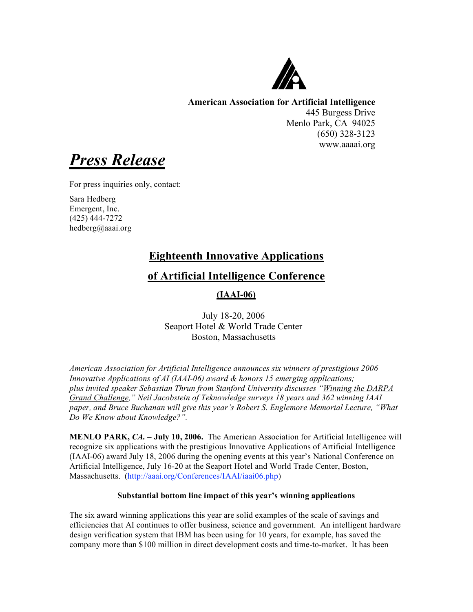

**American Association for Artificial Intelligence** 445 Burgess Drive

Menlo Park, CA 94025 (650) 328-3123 www.aaaai.org

*Press Release*

For press inquiries only, contact:

Sara Hedberg Emergent, Inc. (425) 444-7272 hedberg@aaai.org

# **Eighteenth Innovative Applications**

## **of Artificial Intelligence Conference**

### **(IAAI-06)**

July 18-20, 2006 Seaport Hotel & World Trade Center Boston, Massachusetts

*American Association for Artificial Intelligence announces six winners of prestigious 2006 Innovative Applications of AI (IAAI-06) award & honors 15 emerging applications; plus invited speaker Sebastian Thrun from Stanford University discusses "Winning the DARPA Grand Challenge," Neil Jacobstein of Teknowledge surveys 18 years and 362 winning IAAI paper, and Bruce Buchanan will give this year's Robert S. Englemore Memorial Lecture, "What Do We Know about Knowledge?".*

**MENLO PARK,** *CA.* **– July 10, 2006.** The American Association for Artificial Intelligence will recognize six applications with the prestigious Innovative Applications of Artificial Intelligence (IAAI-06) award July 18, 2006 during the opening events at this year's National Conference on Artificial Intelligence, July 16-20 at the Seaport Hotel and World Trade Center, Boston, Massachusetts. (http://aaai.org/Conferences/IAAI/iaai06.php)

#### **Substantial bottom line impact of this year's winning applications**

The six award winning applications this year are solid examples of the scale of savings and efficiencies that AI continues to offer business, science and government. An intelligent hardware design verification system that IBM has been using for 10 years, for example, has saved the company more than \$100 million in direct development costs and time-to-market. It has been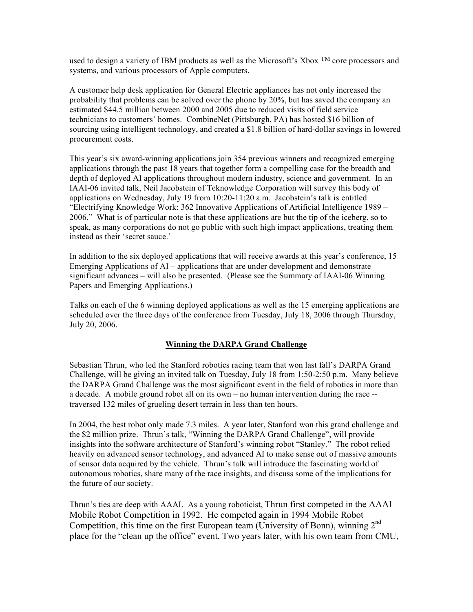used to design a variety of IBM products as well as the Microsoft's Xbox  $^{TM}$  core processors and systems, and various processors of Apple computers.

A customer help desk application for General Electric appliances has not only increased the probability that problems can be solved over the phone by 20%, but has saved the company an estimated \$44.5 million between 2000 and 2005 due to reduced visits of field service technicians to customers' homes. CombineNet (Pittsburgh, PA) has hosted \$16 billion of sourcing using intelligent technology, and created a \$1.8 billion of hard-dollar savings in lowered procurement costs.

This year's six award-winning applications join 354 previous winners and recognized emerging applications through the past 18 years that together form a compelling case for the breadth and depth of deployed AI applications throughout modern industry, science and government. In an IAAI-06 invited talk, Neil Jacobstein of Teknowledge Corporation will survey this body of applications on Wednesday, July 19 from 10:20-11:20 a.m. Jacobstein's talk is entitled "Electrifying Knowledge Work: 362 Innovative Applications of Artificial Intelligence 1989 – 2006." What is of particular note is that these applications are but the tip of the iceberg, so to speak, as many corporations do not go public with such high impact applications, treating them instead as their 'secret sauce.'

In addition to the six deployed applications that will receive awards at this year's conference, 15 Emerging Applications of AI – applications that are under development and demonstrate significant advances – will also be presented. (Please see the Summary of IAAI-06 Winning Papers and Emerging Applications.)

Talks on each of the 6 winning deployed applications as well as the 15 emerging applications are scheduled over the three days of the conference from Tuesday, July 18, 2006 through Thursday, July 20, 2006.

#### **Winning the DARPA Grand Challenge**

Sebastian Thrun, who led the Stanford robotics racing team that won last fall's DARPA Grand Challenge, will be giving an invited talk on Tuesday, July 18 from 1:50-2:50 p.m. Many believe the DARPA Grand Challenge was the most significant event in the field of robotics in more than a decade. A mobile ground robot all on its own – no human intervention during the race - traversed 132 miles of grueling desert terrain in less than ten hours.

In 2004, the best robot only made 7.3 miles. A year later, Stanford won this grand challenge and the \$2 million prize. Thrun's talk, "Winning the DARPA Grand Challenge", will provide insights into the software architecture of Stanford's winning robot "Stanley." The robot relied heavily on advanced sensor technology, and advanced AI to make sense out of massive amounts of sensor data acquired by the vehicle. Thrun's talk will introduce the fascinating world of autonomous robotics, share many of the race insights, and discuss some of the implications for the future of our society.

Thrun's ties are deep with AAAI. As a young roboticist, Thrun first competed in the AAAI Mobile Robot Competition in 1992. He competed again in 1994 Mobile Robot Competition, this time on the first European team (University of Bonn), winning  $2^{nd}$ place for the "clean up the office" event. Two years later, with his own team from CMU,